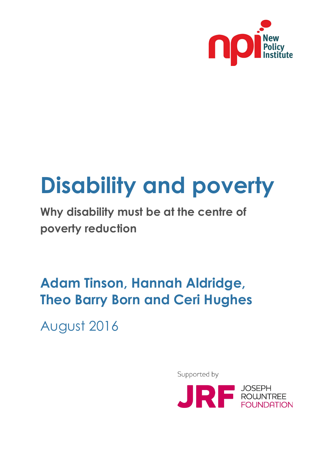

# **Disability and poverty**

**Why disability must be at the centre of poverty reduction**

## **Adam Tinson, Hannah Aldridge, Theo Barry Born and Ceri Hughes**

August 2016

Supported by

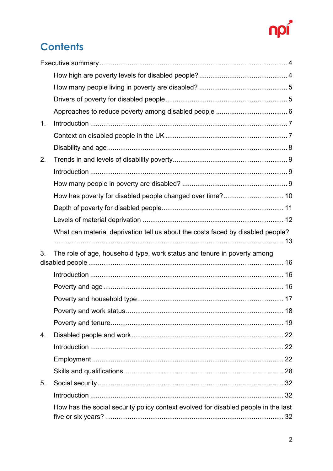## npi

## **Contents**

| 1. |                                                                                    |  |
|----|------------------------------------------------------------------------------------|--|
|    |                                                                                    |  |
|    |                                                                                    |  |
| 2. |                                                                                    |  |
|    |                                                                                    |  |
|    |                                                                                    |  |
|    |                                                                                    |  |
|    |                                                                                    |  |
|    |                                                                                    |  |
|    | What can material deprivation tell us about the costs faced by disabled people?    |  |
|    |                                                                                    |  |
|    |                                                                                    |  |
| 3. | The role of age, household type, work status and tenure in poverty among           |  |
|    |                                                                                    |  |
|    |                                                                                    |  |
|    |                                                                                    |  |
|    |                                                                                    |  |
|    |                                                                                    |  |
|    |                                                                                    |  |
| 4. |                                                                                    |  |
|    |                                                                                    |  |
|    |                                                                                    |  |
|    |                                                                                    |  |
| 5. |                                                                                    |  |
|    | How has the social security policy context evolved for disabled people in the last |  |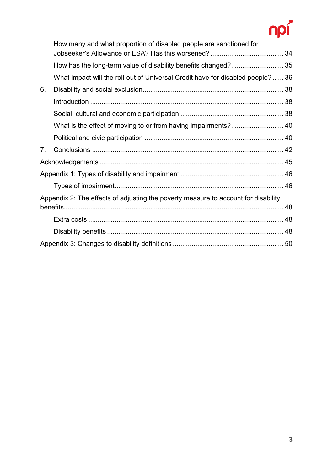## npi

|    | How many and what proportion of disabled people are sanctioned for                 |  |  |  |  |
|----|------------------------------------------------------------------------------------|--|--|--|--|
|    | How has the long-term value of disability benefits changed? 35                     |  |  |  |  |
|    | What impact will the roll-out of Universal Credit have for disabled people? 36     |  |  |  |  |
| 6. |                                                                                    |  |  |  |  |
|    |                                                                                    |  |  |  |  |
|    |                                                                                    |  |  |  |  |
|    | What is the effect of moving to or from having impairments? 40                     |  |  |  |  |
|    |                                                                                    |  |  |  |  |
| 7. |                                                                                    |  |  |  |  |
|    |                                                                                    |  |  |  |  |
|    |                                                                                    |  |  |  |  |
|    |                                                                                    |  |  |  |  |
|    | Appendix 2: The effects of adjusting the poverty measure to account for disability |  |  |  |  |
|    |                                                                                    |  |  |  |  |
|    |                                                                                    |  |  |  |  |
|    |                                                                                    |  |  |  |  |
|    |                                                                                    |  |  |  |  |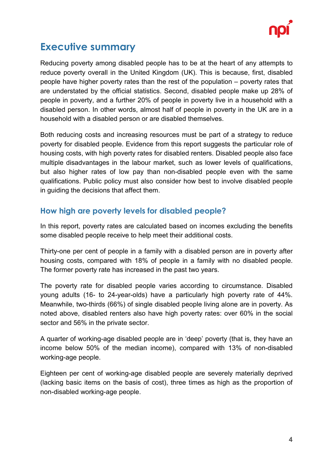

### <span id="page-3-0"></span>**Executive summary**

Reducing poverty among disabled people has to be at the heart of any attempts to reduce poverty overall in the United Kingdom (UK). This is because, first, disabled people have higher poverty rates than the rest of the population – poverty rates that are understated by the official statistics. Second, disabled people make up 28% of people in poverty, and a further 20% of people in poverty live in a household with a disabled person. In other words, almost half of people in poverty in the UK are in a household with a disabled person or are disabled themselves.

Both reducing costs and increasing resources must be part of a strategy to reduce poverty for disabled people. Evidence from this report suggests the particular role of housing costs, with high poverty rates for disabled renters. Disabled people also face multiple disadvantages in the labour market, such as lower levels of qualifications, but also higher rates of low pay than non-disabled people even with the same qualifications. Public policy must also consider how best to involve disabled people in guiding the decisions that affect them.

#### <span id="page-3-1"></span>**How high are poverty levels for disabled people?**

In this report, poverty rates are calculated based on incomes excluding the benefits some disabled people receive to help meet their additional costs.

Thirty-one per cent of people in a family with a disabled person are in poverty after housing costs, compared with 18% of people in a family with no disabled people. The former poverty rate has increased in the past two years.

The poverty rate for disabled people varies according to circumstance. Disabled young adults (16- to 24-year-olds) have a particularly high poverty rate of 44%. Meanwhile, two-thirds (66%) of single disabled people living alone are in poverty. As noted above, disabled renters also have high poverty rates: over 60% in the social sector and 56% in the private sector.

A quarter of working-age disabled people are in 'deep' poverty (that is, they have an income below 50% of the median income), compared with 13% of non-disabled working-age people.

Eighteen per cent of working-age disabled people are severely materially deprived (lacking basic items on the basis of cost), three times as high as the proportion of non-disabled working-age people.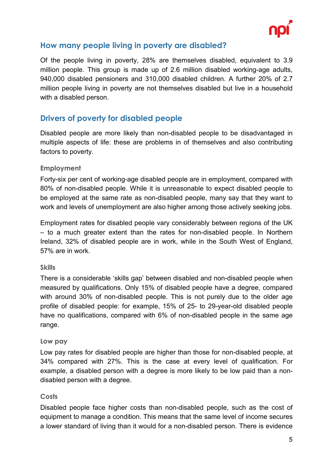

#### <span id="page-4-0"></span>**How many people living in poverty are disabled?**

Of the people living in poverty, 28% are themselves disabled, equivalent to 3.9 million people. This group is made up of 2.6 million disabled working-age adults, 940,000 disabled pensioners and 310,000 disabled children. A further 20% of 2.7 million people living in poverty are not themselves disabled but live in a household with a disabled person.

#### <span id="page-4-1"></span>**Drivers of poverty for disabled people**

Disabled people are more likely than non-disabled people to be disadvantaged in multiple aspects of life: these are problems in of themselves and also contributing factors to poverty.

#### **Employment**

Forty-six per cent of working-age disabled people are in employment, compared with 80% of non-disabled people. While it is unreasonable to expect disabled people to be employed at the same rate as non-disabled people, many say that they want to work and levels of unemployment are also higher among those actively seeking jobs.

Employment rates for disabled people vary considerably between regions of the UK – to a much greater extent than the rates for non-disabled people. In Northern Ireland, 32% of disabled people are in work, while in the South West of England, 57% are in work.

#### **Skills**

There is a considerable 'skills gap' between disabled and non-disabled people when measured by qualifications. Only 15% of disabled people have a degree, compared with around 30% of non-disabled people. This is not purely due to the older age profile of disabled people: for example, 15% of 25- to 29-year-old disabled people have no qualifications, compared with 6% of non-disabled people in the same age range.

#### **Low pay**

Low pay rates for disabled people are higher than those for non-disabled people, at 34% compared with 27%. This is the case at every level of qualification. For example, a disabled person with a degree is more likely to be low paid than a nondisabled person with a degree.

#### **Costs**

Disabled people face higher costs than non-disabled people, such as the cost of equipment to manage a condition. This means that the same level of income secures a lower standard of living than it would for a non-disabled person. There is evidence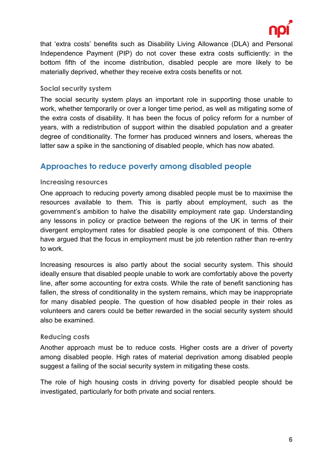

that 'extra costs' benefits such as Disability Living Allowance (DLA) and Personal Independence Payment (PIP) do not cover these extra costs sufficiently: in the bottom fifth of the income distribution, disabled people are more likely to be materially deprived, whether they receive extra costs benefits or not.

#### **Social security system**

The social security system plays an important role in supporting those unable to work, whether temporarily or over a longer time period, as well as mitigating some of the extra costs of disability. It has been the focus of policy reform for a number of years, with a redistribution of support within the disabled population and a greater degree of conditionality. The former has produced winners and losers, whereas the latter saw a spike in the sanctioning of disabled people, which has now abated.

#### <span id="page-5-0"></span>**Approaches to reduce poverty among disabled people**

#### **Increasing resources**

One approach to reducing poverty among disabled people must be to maximise the resources available to them. This is partly about employment, such as the government's ambition to halve the disability employment rate gap. Understanding any lessons in policy or practice between the regions of the UK in terms of their divergent employment rates for disabled people is one component of this. Others have argued that the focus in employment must be job retention rather than re-entry to work.

Increasing resources is also partly about the social security system. This should ideally ensure that disabled people unable to work are comfortably above the poverty line, after some accounting for extra costs. While the rate of benefit sanctioning has fallen, the stress of conditionality in the system remains, which may be inappropriate for many disabled people. The question of how disabled people in their roles as volunteers and carers could be better rewarded in the social security system should also be examined.

#### **Reducing costs**

Another approach must be to reduce costs. Higher costs are a driver of poverty among disabled people. High rates of material deprivation among disabled people suggest a failing of the social security system in mitigating these costs.

The role of high housing costs in driving poverty for disabled people should be investigated, particularly for both private and social renters.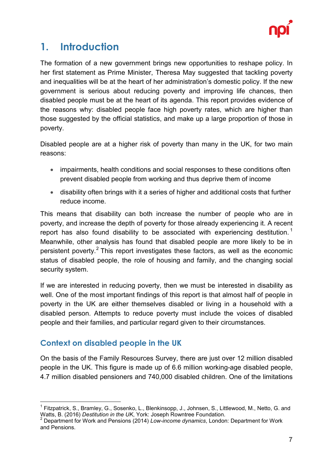

## <span id="page-6-0"></span>**1. Introduction**

The formation of a new government brings new opportunities to reshape policy. In her first statement as Prime Minister, Theresa May suggested that tackling poverty and inequalities will be at the heart of her administration's domestic policy. If the new government is serious about reducing poverty and improving life chances, then disabled people must be at the heart of its agenda. This report provides evidence of the reasons why: disabled people face high poverty rates, which are higher than those suggested by the official statistics, and make up a large proportion of those in poverty.

Disabled people are at a higher risk of poverty than many in the UK, for two main reasons:

- impairments, health conditions and social responses to these conditions often prevent disabled people from working and thus deprive them of income
- disability often brings with it a series of higher and additional costs that further reduce income.

This means that disability can both increase the number of people who are in poverty, and increase the depth of poverty for those already experiencing it. A recent report has also found disability to be associated with experiencing destitution.<sup>[1](#page-6-2)</sup> Meanwhile, other analysis has found that disabled people are more likely to be in persistent poverty. $2$  This report investigates these factors, as well as the economic status of disabled people, the role of housing and family, and the changing social security system.

If we are interested in reducing poverty, then we must be interested in disability as well. One of the most important findings of this report is that almost half of people in poverty in the UK are either themselves disabled or living in a household with a disabled person. Attempts to reduce poverty must include the voices of disabled people and their families, and particular regard given to their circumstances.

#### <span id="page-6-1"></span>**Context on disabled people in the UK**

On the basis of the Family Resources Survey, there are just over 12 million disabled people in the UK. This figure is made up of 6.6 million working-age disabled people, 4.7 million disabled pensioners and 740,000 disabled children. One of the limitations

<span id="page-6-2"></span> $^1$  Fitzpatrick, S., Bramley, G., Sosenko, L., Blenkinsopp, J., Johnsen, S., Littlewood, M., Netto, G. and<br>Watts, B. (2016) *Destitution in the UK*, York: Joseph Rowntree Foundation.

<span id="page-6-3"></span>Pestitution in the UK<sub>2</sub>, Destitution in the UK<sub>2</sub>, 2014) *Low-income dynamics*, London: Department for Work and Pensions.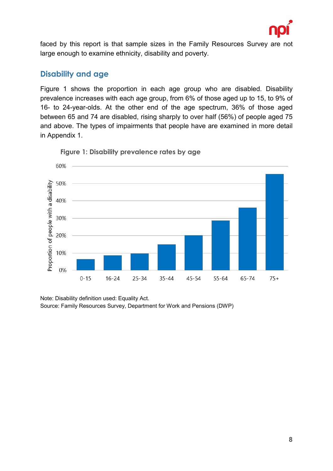

faced by this report is that sample sizes in the Family Resources Survey are not large enough to examine ethnicity, disability and poverty.

#### <span id="page-7-0"></span>**Disability and age**

Figure 1 shows the proportion in each age group who are disabled. Disability prevalence increases with each age group, from 6% of those aged up to 15, to 9% of 16- to 24-year-olds. At the other end of the age spectrum, 36% of those aged between 65 and 74 are disabled, rising sharply to over half (56%) of people aged 75 and above. The types of impairments that people have are examined in more detail in Appendix 1.



**Figure 1: Disability prevalence rates by age**

Note: Disability definition used: Equality Act. Source: Family Resources Survey, Department for Work and Pensions (DWP)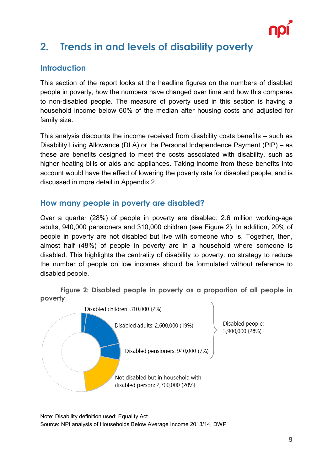

## <span id="page-8-0"></span>**2. Trends in and levels of disability poverty**

#### <span id="page-8-1"></span>**Introduction**

This section of the report looks at the headline figures on the numbers of disabled people in poverty, how the numbers have changed over time and how this compares to non-disabled people. The measure of poverty used in this section is having a household income below 60% of the median after housing costs and adjusted for family size.

This analysis discounts the income received from disability costs benefits – such as Disability Living Allowance (DLA) or the Personal Independence Payment (PIP) – as these are benefits designed to meet the costs associated with disability, such as higher heating bills or aids and appliances. Taking income from these benefits into account would have the effect of lowering the poverty rate for disabled people, and is discussed in more detail in Appendix 2.

#### <span id="page-8-2"></span>**How many people in poverty are disabled?**

Over a quarter (28%) of people in poverty are disabled: 2.6 million working-age adults, 940,000 pensioners and 310,000 children (see Figure 2). In addition, 20% of people in poverty are not disabled but live with someone who is. Together, then, almost half (48%) of people in poverty are in a household where someone is disabled. This highlights the centrality of disability to poverty: no strategy to reduce the number of people on low incomes should be formulated without reference to disabled people.

**Figure 2: Disabled people in poverty as a proportion of all people in poverty**



Note: Disability definition used: Equality Act. Source: NPI analysis of Households Below Average Income 2013/14, DWP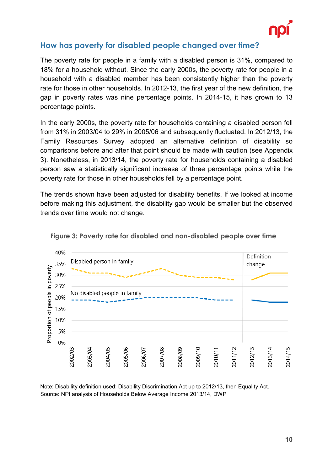

#### <span id="page-9-0"></span>**How has poverty for disabled people changed over time?**

The poverty rate for people in a family with a disabled person is 31%, compared to 18% for a household without. Since the early 2000s, the poverty rate for people in a household with a disabled member has been consistently higher than the poverty rate for those in other households. In 2012-13, the first year of the new definition, the gap in poverty rates was nine percentage points. In 2014-15, it has grown to 13 percentage points.

In the early 2000s, the poverty rate for households containing a disabled person fell from 31% in 2003/04 to 29% in 2005/06 and subsequently fluctuated. In 2012/13, the Family Resources Survey adopted an alternative definition of disability so comparisons before and after that point should be made with caution (see Appendix 3). Nonetheless, in 2013/14, the poverty rate for households containing a disabled person saw a statistically significant increase of three percentage points while the poverty rate for those in other households fell by a percentage point.

The trends shown have been adjusted for disability benefits. If we looked at income before making this adjustment, the disability gap would be smaller but the observed trends over time would not change.





Note: Disability definition used: Disability Discrimination Act up to 2012/13, then Equality Act. Source: NPI analysis of Households Below Average Income 2013/14, DWP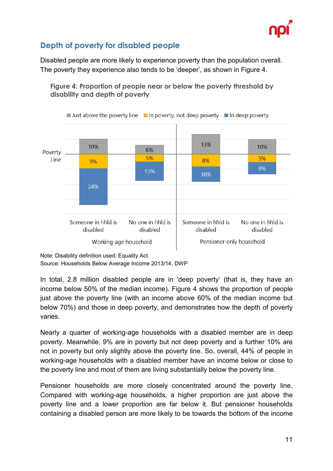

#### <span id="page-10-0"></span>**Depth of poverty for disabled people**

Disabled people are more likely to experience poverty than the population overall. The poverty they experience also tends to be 'deeper', as shown in Figure 4.



**Figure 4: Proportion of people near or below the poverty threshold by disability and depth of poverty**

Note: Disability definition used: Equality Act.

Source: Households Below Average Income 2013/14, DWP

In total, 2.8 million disabled people are in 'deep poverty' (that is, they have an income below 50% of the median income). Figure 4 shows the proportion of people just above the poverty line (with an income above 60% of the median income but below 70%) and those in deep poverty, and demonstrates how the depth of poverty varies.

Nearly a quarter of working-age households with a disabled member are in deep poverty. Meanwhile, 9% are in poverty but not deep poverty and a further 10% are not in poverty but only slightly above the poverty line. So, overall, 44% of people in working-age households with a disabled member have an income below or close to the poverty line and most of them are living substantially below the poverty line.

Pensioner households are more closely concentrated around the poverty line. Compared with working-age households, a higher proportion are just above the poverty line and a lower proportion are far below it. But pensioner households containing a disabled person are more likely to be towards the bottom of the income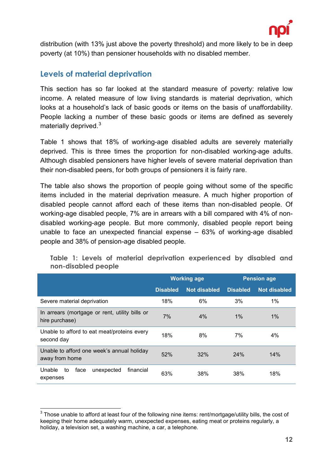

distribution (with 13% just above the poverty threshold) and more likely to be in deep poverty (at 10%) than pensioner households with no disabled member.

#### <span id="page-11-0"></span>**Levels of material deprivation**

This section has so far looked at the standard measure of poverty: relative low income. A related measure of low living standards is material deprivation, which looks at a household's lack of basic goods or items on the basis of unaffordability. People lacking a number of these basic goods or items are defined as severely materially deprived. [3](#page-11-1)

Table 1 shows that 18% of working-age disabled adults are severely materially deprived. This is three times the proportion for non-disabled working-age adults. Although disabled pensioners have higher levels of severe material deprivation than their non-disabled peers, for both groups of pensioners it is fairly rare.

The table also shows the proportion of people going without some of the specific items included in the material deprivation measure. A much higher proportion of disabled people cannot afford each of these items than non-disabled people. Of working-age disabled people, 7% are in arrears with a bill compared with 4% of nondisabled working-age people. But more commonly, disabled people report being unable to face an unexpected financial expense – 63% of working-age disabled people and 38% of pension-age disabled people.

|                                                                  | <b>Working age</b> |                     | <b>Pension age</b> |                     |
|------------------------------------------------------------------|--------------------|---------------------|--------------------|---------------------|
|                                                                  | <b>Disabled</b>    | <b>Not disabled</b> | <b>Disabled</b>    | <b>Not disabled</b> |
| Severe material deprivation                                      | 18%                | 6%                  | 3%                 | $1\%$               |
| In arrears (mortgage or rent, utility bills or<br>hire purchase) | 7%                 | 4%                  | $1\%$              | $1\%$               |
| Unable to afford to eat meat/proteins every<br>second day        | 18%                | 8%                  | 7%                 | 4%                  |
| Unable to afford one week's annual holiday<br>away from home     | 52%                | 32%                 | 24%                | 14%                 |
| Unable<br>face<br>unexpected<br>financial<br>to<br>expenses      | 63%                | 38%                 | 38%                | 18%                 |

**Table 1: Levels of material deprivation experienced by disabled and non-disabled people**

<span id="page-11-1"></span> $3$  Those unable to afford at least four of the following nine items: rent/mortgage/utility bills, the cost of keeping their home adequately warm, unexpected expenses, eating meat or proteins regularly, a holiday, a television set, a washing machine, a car, a telephone.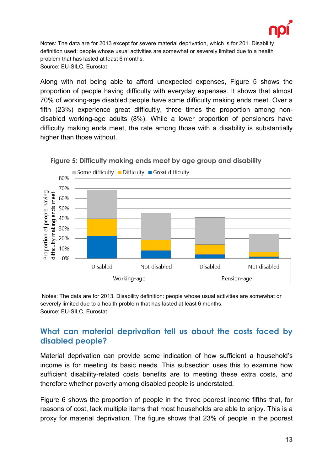

Notes: The data are for 2013 except for severe material deprivation, which is for 201. Disability definition used: people whose usual activities are somewhat or severely limited due to a health problem that has lasted at least 6 months. Source: EU-SILC, Eurostat

Along with not being able to afford unexpected expenses, Figure 5 shows the proportion of people having difficulty with everyday expenses. It shows that almost 70% of working-age disabled people have some difficulty making ends meet. Over a fifth (23%) experience great difficultly, three times the proportion among nondisabled working-age adults (8%). While a lower proportion of pensioners have difficulty making ends meet, the rate among those with a disability is substantially higher than those without.





Notes: The data are for 2013. Disability definition: people whose usual activities are somewhat or severely limited due to a health problem that has lasted at least 6 months. Source: EU-SILC, Eurostat

#### <span id="page-12-0"></span>**What can material deprivation tell us about the costs faced by disabled people?**

Material deprivation can provide some indication of how sufficient a household's income is for meeting its basic needs. This subsection uses this to examine how sufficient disability-related costs benefits are to meeting these extra costs, and therefore whether poverty among disabled people is understated.

Figure 6 shows the proportion of people in the three poorest income fifths that, for reasons of cost, lack multiple items that most households are able to enjoy. This is a proxy for material deprivation. The figure shows that 23% of people in the poorest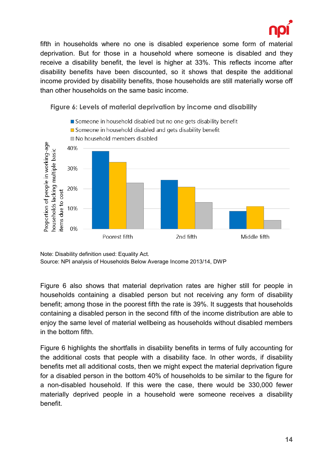

fifth in households where no one is disabled experience some form of material deprivation. But for those in a household where someone is disabled and they receive a disability benefit, the level is higher at 33%. This reflects income after disability benefits have been discounted, so it shows that despite the additional income provided by disability benefits, those households are still materially worse off than other households on the same basic income.



**Figure 6: Levels of material deprivation by income and disability**

Note: Disability definition used: Equality Act. Source: NPI analysis of Households Below Average Income 2013/14, DWP

Figure 6 also shows that material deprivation rates are higher still for people in households containing a disabled person but not receiving any form of disability benefit; among those in the poorest fifth the rate is 39%. It suggests that households containing a disabled person in the second fifth of the income distribution are able to enjoy the same level of material wellbeing as households without disabled members in the bottom fifth

Figure 6 highlights the shortfalls in disability benefits in terms of fully accounting for the additional costs that people with a disability face. In other words, if disability benefits met all additional costs, then we might expect the material deprivation figure for a disabled person in the bottom 40% of households to be similar to the figure for a non-disabled household. If this were the case, there would be 330,000 fewer materially deprived people in a household were someone receives a disability benefit.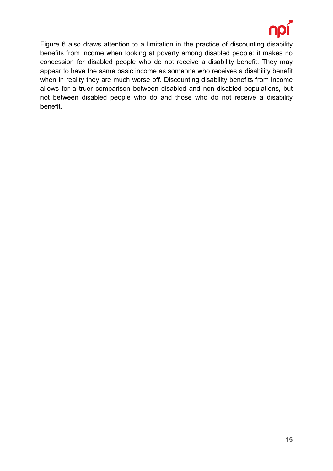

Figure 6 also draws attention to a limitation in the practice of discounting disability benefits from income when looking at poverty among disabled people: it makes no concession for disabled people who do not receive a disability benefit. They may appear to have the same basic income as someone who receives a disability benefit when in reality they are much worse off. Discounting disability benefits from income allows for a truer comparison between disabled and non-disabled populations, but not between disabled people who do and those who do not receive a disability benefit.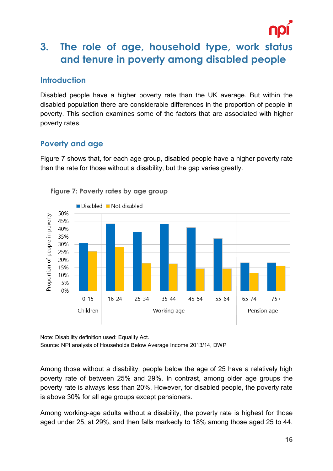

## <span id="page-15-0"></span>**3. The role of age, household type, work status and tenure in poverty among disabled people**

#### <span id="page-15-1"></span>**Introduction**

Disabled people have a higher poverty rate than the UK average. But within the disabled population there are considerable differences in the proportion of people in poverty. This section examines some of the factors that are associated with higher poverty rates.

#### <span id="page-15-2"></span>**Poverty and age**

Figure 7 shows that, for each age group, disabled people have a higher poverty rate than the rate for those without a disability, but the gap varies greatly.



**Figure 7: Poverty rates by age group**

Note: Disability definition used: Equality Act. Source: NPI analysis of Households Below Average Income 2013/14, DWP

Among those without a disability, people below the age of 25 have a relatively high poverty rate of between 25% and 29%. In contrast, among older age groups the poverty rate is always less than 20%. However, for disabled people, the poverty rate is above 30% for all age groups except pensioners.

Among working-age adults without a disability, the poverty rate is highest for those aged under 25, at 29%, and then falls markedly to 18% among those aged 25 to 44.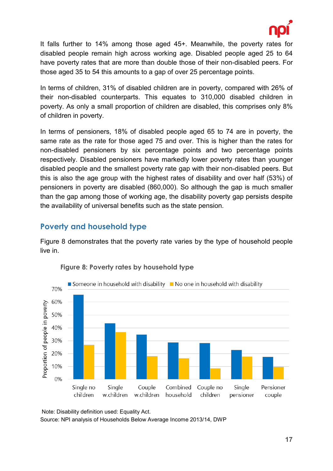

It falls further to 14% among those aged 45+. Meanwhile, the poverty rates for disabled people remain high across working age. Disabled people aged 25 to 64 have poverty rates that are more than double those of their non-disabled peers. For those aged 35 to 54 this amounts to a gap of over 25 percentage points.

In terms of children, 31% of disabled children are in poverty, compared with 26% of their non-disabled counterparts. This equates to 310,000 disabled children in poverty. As only a small proportion of children are disabled, this comprises only 8% of children in poverty.

In terms of pensioners, 18% of disabled people aged 65 to 74 are in poverty, the same rate as the rate for those aged 75 and over. This is higher than the rates for non-disabled pensioners by six percentage points and two percentage points respectively. Disabled pensioners have markedly lower poverty rates than younger disabled people and the smallest poverty rate gap with their non-disabled peers. But this is also the age group with the highest rates of disability and over half (53%) of pensioners in poverty are disabled (860,000). So although the gap is much smaller than the gap among those of working age, the disability poverty gap persists despite the availability of universal benefits such as the state pension.

#### <span id="page-16-0"></span>**Poverty and household type**

Figure 8 demonstrates that the poverty rate varies by the type of household people live in.



#### **Figure 8: Poverty rates by household type**

Note: Disability definition used: Equality Act. Source: NPI analysis of Households Below Average Income 2013/14, DWP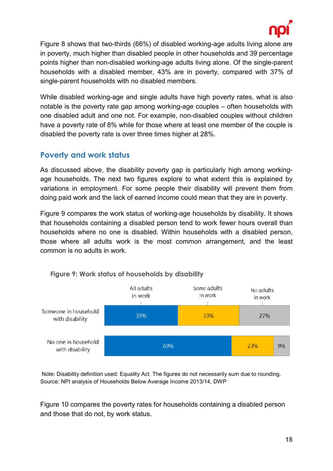

Figure 8 shows that two-thirds (66%) of disabled working-age adults living alone are in poverty, much higher than disabled people in other households and 39 percentage points higher than non-disabled working-age adults living alone. Of the single-parent households with a disabled member, 43% are in poverty, compared with 37% of single-parent households with no disabled members.

While disabled working-age and single adults have high poverty rates, what is also notable is the poverty rate gap among working-age couples – often households with one disabled adult and one not. For example, non-disabled couples without children have a poverty rate of 8% while for those where at least one member of the couple is disabled the poverty rate is over three times higher at 28%.

#### <span id="page-17-0"></span>**Poverty and work status**

As discussed above, the disability poverty gap is particularly high among workingage households. The next two figures explore to what extent this is explained by variations in employment. For some people their disability will prevent them from doing paid work and the lack of earned income could mean that they are in poverty.

Figure 9 compares the work status of working-age households by disability. It shows that households containing a disabled person tend to work fewer hours overall than households where no one is disabled. Within households with a disabled person, those where all adults work is the most common arrangement, and the least common is no adults in work.



#### **Figure 9: Work status of households by disability**

Note: Disability definition used: Equality Act. The figures do not necessarily sum due to rounding. Source: NPI analysis of Households Below Average Income 2013/14, DWP

Figure 10 compares the poverty rates for households containing a disabled person and those that do not, by work status.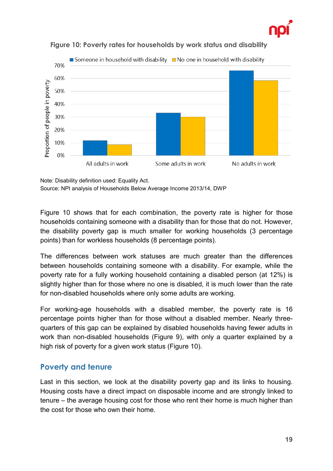





Note: Disability definition used: Equality Act.

Source: NPI analysis of Households Below Average Income 2013/14, DWP

Figure 10 shows that for each combination, the poverty rate is higher for those households containing someone with a disability than for those that do not. However, the disability poverty gap is much smaller for working households (3 percentage points) than for workless households (8 percentage points).

The differences between work statuses are much greater than the differences between households containing someone with a disability. For example, while the poverty rate for a fully working household containing a disabled person (at 12%) is slightly higher than for those where no one is disabled, it is much lower than the rate for non-disabled households where only some adults are working.

For working-age households with a disabled member, the poverty rate is 16 percentage points higher than for those without a disabled member. Nearly threequarters of this gap can be explained by disabled households having fewer adults in work than non-disabled households (Figure 9), with only a quarter explained by a high risk of poverty for a given work status (Figure 10).

#### <span id="page-18-0"></span>**Poverty and tenure**

Last in this section, we look at the disability poverty gap and its links to housing. Housing costs have a direct impact on disposable income and are strongly linked to tenure – the average housing cost for those who rent their home is much higher than the cost for those who own their home.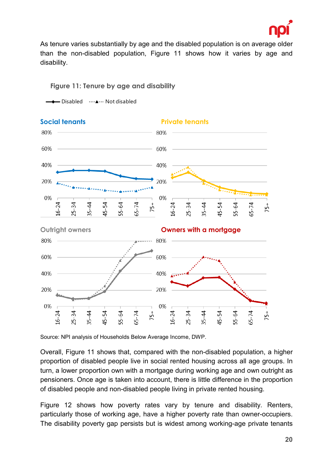

As tenure varies substantially by age and the disabled population is on average older than the non-disabled population, Figure 11 shows how it varies by age and disability.

#### **Figure 11: Tenure by age and disability**

 $\neg$  Disabled  $\neg$   $\dots \triangle$   $\dots$  Not disabled



Source: NPI analysis of Households Below Average Income, DWP.

Overall, Figure 11 shows that, compared with the non-disabled population, a higher proportion of disabled people live in social rented housing across all age groups. In turn, a lower proportion own with a mortgage during working age and own outright as pensioners. Once age is taken into account, there is little difference in the proportion of disabled people and non-disabled people living in private rented housing.

Figure 12 shows how poverty rates vary by tenure and disability. Renters, particularly those of working age, have a higher poverty rate than owner-occupiers. The disability poverty gap persists but is widest among working-age private tenants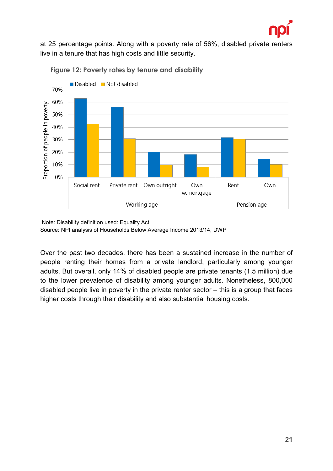

at 25 percentage points. Along with a poverty rate of 56%, disabled private renters live in a tenure that has high costs and little security.



**Figure 12: Poverty rates by tenure and disability**

Over the past two decades, there has been a sustained increase in the number of people renting their homes from a private landlord, particularly among younger adults. But overall, only 14% of disabled people are private tenants (1.5 million) due to the lower prevalence of disability among younger adults. Nonetheless, 800,000 disabled people live in poverty in the private renter sector – this is a group that faces higher costs through their disability and also substantial housing costs.

Note: Disability definition used: Equality Act. Source: NPI analysis of Households Below Average Income 2013/14, DWP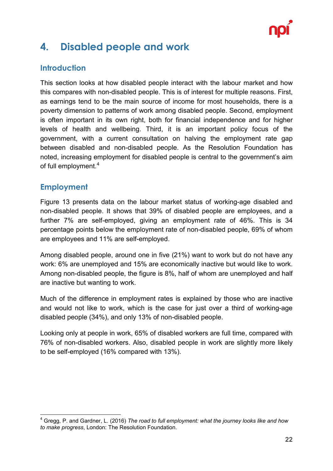

## <span id="page-21-0"></span>**4. Disabled people and work**

#### <span id="page-21-1"></span>**Introduction**

This section looks at how disabled people interact with the labour market and how this compares with non-disabled people. This is of interest for multiple reasons. First, as earnings tend to be the main source of income for most households, there is a poverty dimension to patterns of work among disabled people. Second, employment is often important in its own right, both for financial independence and for higher levels of health and wellbeing. Third, it is an important policy focus of the government, with a current consultation on halving the employment rate gap between disabled and non-disabled people. As the Resolution Foundation has noted, increasing employment for disabled people is central to the government's aim of full employment.<sup>[4](#page-21-3)</sup>

#### <span id="page-21-2"></span>**Employment**

Figure 13 presents data on the labour market status of working-age disabled and non-disabled people. It shows that 39% of disabled people are employees, and a further 7% are self-employed, giving an employment rate of 46%. This is 34 percentage points below the employment rate of non-disabled people, 69% of whom are employees and 11% are self-employed.

Among disabled people, around one in five (21%) want to work but do not have any work: 6% are unemployed and 15% are economically inactive but would like to work. Among non-disabled people, the figure is 8%, half of whom are unemployed and half are inactive but wanting to work.

Much of the difference in employment rates is explained by those who are inactive and would not like to work, which is the case for just over a third of working-age disabled people (34%), and only 13% of non-disabled people.

Looking only at people in work, 65% of disabled workers are full time, compared with 76% of non-disabled workers. Also, disabled people in work are slightly more likely to be self-employed (16% compared with 13%).

<span id="page-21-3"></span> <sup>4</sup> Gregg, P. and Gardner, L. (2016) *The road to full employment: what the journey looks like and how to make progress*, London: The Resolution Foundation.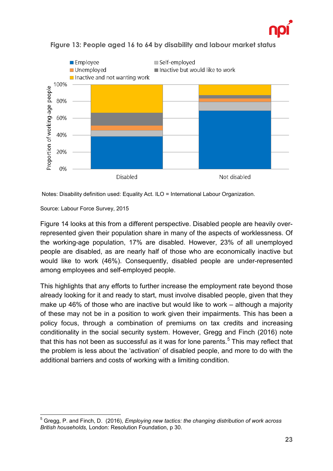



**Figure 13: People aged 16 to 64 by disability and labour market status**

Notes: Disability definition used: Equality Act. ILO = International Labour Organization.

Source: Labour Force Survey, 2015

Figure 14 looks at this from a different perspective. Disabled people are heavily overrepresented given their population share in many of the aspects of worklessness. Of the working-age population, 17% are disabled. However, 23% of all unemployed people are disabled, as are nearly half of those who are economically inactive but would like to work (46%). Consequently, disabled people are under-represented among employees and self-employed people.

This highlights that any efforts to further increase the employment rate beyond those already looking for it and ready to start, must involve disabled people, given that they make up 46% of those who are inactive but would like to work – although a majority of these may not be in a position to work given their impairments. This has been a policy focus, through a combination of premiums on tax credits and increasing conditionality in the social security system. However, Gregg and Finch (2016) note that this has not been as successful as it was for lone parents. $^5$  $^5$  This may reflect that the problem is less about the 'activation' of disabled people, and more to do with the additional barriers and costs of working with a limiting condition.

<span id="page-22-0"></span> <sup>5</sup> Gregg, P. and Finch, D. (2016), *Employing new tactics: the changing distribution of work across British households,* London: Resolution Foundation, p 30.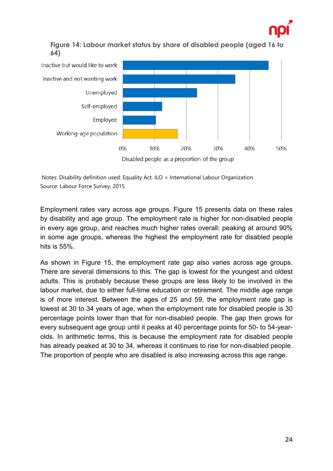

#### **Figure 14: Labour market status by share of disabled people (aged 16 to 64)**



Notes: Disability definition used: Equality Act. ILO = International Labour Organization. Source: Labour Force Survey, 2015

Employment rates vary across age groups. Figure 15 presents data on these rates by disability and age group. The employment rate is higher for non-disabled people in every age group, and reaches much higher rates overall: peaking at around 90% in some age groups, whereas the highest the employment rate for disabled people hits is 55%.

As shown in Figure 15, the employment rate gap also varies across age groups. There are several dimensions to this. The gap is lowest for the youngest and oldest adults. This is probably because these groups are less likely to be involved in the labour market, due to either full-time education or retirement. The middle age range is of more interest. Between the ages of 25 and 59, the employment rate gap is lowest at 30 to 34 years of age, when the employment rate for disabled people is 30 percentage points lower than that for non-disabled people. The gap then grows for every subsequent age group until it peaks at 40 percentage points for 50- to 54-yearolds. In arithmetic terms, this is because the employment rate for disabled people has already peaked at 30 to 34, whereas it continues to rise for non-disabled people. The proportion of people who are disabled is also increasing across this age range.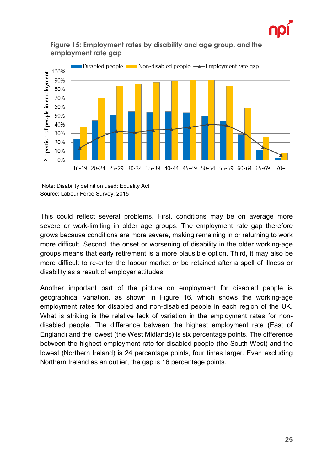



#### **Figure 15: Employment rates by disability and age group, and the employment rate gap**

Note: Disability definition used: Equality Act. Source: Labour Force Survey, 2015

This could reflect several problems. First, conditions may be on average more severe or work-limiting in older age groups. The employment rate gap therefore grows because conditions are more severe, making remaining in or returning to work more difficult. Second, the onset or worsening of disability in the older working-age groups means that early retirement is a more plausible option. Third, it may also be more difficult to re-enter the labour market or be retained after a spell of illness or disability as a result of employer attitudes.

Another important part of the picture on employment for disabled people is geographical variation, as shown in Figure 16, which shows the working-age employment rates for disabled and non-disabled people in each region of the UK. What is striking is the relative lack of variation in the employment rates for nondisabled people. The difference between the highest employment rate (East of England) and the lowest (the West Midlands) is six percentage points. The difference between the highest employment rate for disabled people (the South West) and the lowest (Northern Ireland) is 24 percentage points, four times larger. Even excluding Northern Ireland as an outlier, the gap is 16 percentage points.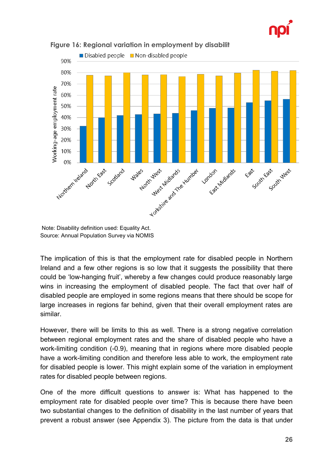



**Figure 16: Regional variation in employment by disabilit**

Note: Disability definition used: Equality Act. Source: Annual Population Survey via NOMIS

The implication of this is that the employment rate for disabled people in Northern Ireland and a few other regions is so low that it suggests the possibility that there could be 'low-hanging fruit', whereby a few changes could produce reasonably large wins in increasing the employment of disabled people. The fact that over half of disabled people are employed in some regions means that there should be scope for large increases in regions far behind, given that their overall employment rates are similar.

However, there will be limits to this as well. There is a strong negative correlation between regional employment rates and the share of disabled people who have a work-limiting condition (-0.9), meaning that in regions where more disabled people have a work-limiting condition and therefore less able to work, the employment rate for disabled people is lower. This might explain some of the variation in employment rates for disabled people between regions.

One of the more difficult questions to answer is: What has happened to the employment rate for disabled people over time? This is because there have been two substantial changes to the definition of disability in the last number of years that prevent a robust answer (see Appendix 3). The picture from the data is that under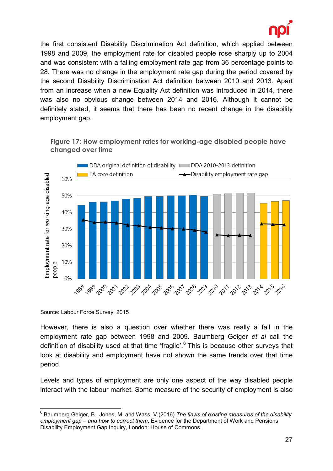

the first consistent Disability Discrimination Act definition, which applied between 1998 and 2009, the employment rate for disabled people rose sharply up to 2004 and was consistent with a falling employment rate gap from 36 percentage points to 28. There was no change in the employment rate gap during the period covered by the second Disability Discrimination Act definition between 2010 and 2013. Apart from an increase when a new Equality Act definition was introduced in 2014, there was also no obvious change between 2014 and 2016. Although it cannot be definitely stated, it seems that there has been no recent change in the disability employment gap.



**Figure 17: How employment rates for working-age disabled people have changed over time**

However, there is also a question over whether there was really a fall in the employment rate gap between 1998 and 2009. Baumberg Geiger *et al* call the definition of disability used at that time 'fragile'. [6](#page-26-0) This is because other surveys that look at disability and employment have not shown the same trends over that time period.

Levels and types of employment are only one aspect of the way disabled people interact with the labour market. Some measure of the security of employment is also

Source: Labour Force Survey, 2015

<span id="page-26-0"></span> <sup>6</sup> Baumberg Geiger, B., Jones, M. and Wass, V.(2016) *The flaws of existing measures of the disability employment gap – and how to correct them*, Evidence for the Department of Work and Pensions Disability Employment Gap Inquiry, London: House of Commons.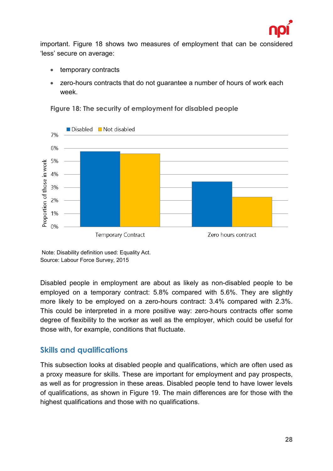

important. Figure 18 shows two measures of employment that can be considered 'less' secure on average:

- temporary contracts
- zero-hours contracts that do not guarantee a number of hours of work each week.



**Figure 18: The security of employment for disabled people**

Note: Disability definition used: Equality Act. Source: Labour Force Survey, 2015

Disabled people in employment are about as likely as non-disabled people to be employed on a temporary contract: 5.8% compared with 5.6%. They are slightly more likely to be employed on a zero-hours contract: 3.4% compared with 2.3%. This could be interpreted in a more positive way: zero-hours contracts offer some degree of flexibility to the worker as well as the employer, which could be useful for those with, for example, conditions that fluctuate.

#### <span id="page-27-0"></span>**Skills and qualifications**

This subsection looks at disabled people and qualifications, which are often used as a proxy measure for skills. These are important for employment and pay prospects, as well as for progression in these areas. Disabled people tend to have lower levels of qualifications, as shown in Figure 19. The main differences are for those with the highest qualifications and those with no qualifications.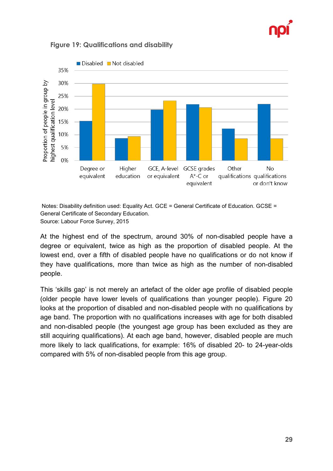



#### **Figure 19: Qualifications and disability**

Notes: Disability definition used: Equality Act. GCE = General Certificate of Education. GCSE = General Certificate of Secondary Education. Source: Labour Force Survey, 2015

At the highest end of the spectrum, around 30% of non-disabled people have a degree or equivalent, twice as high as the proportion of disabled people. At the lowest end, over a fifth of disabled people have no qualifications or do not know if they have qualifications, more than twice as high as the number of non-disabled people.

This 'skills gap' is not merely an artefact of the older age profile of disabled people (older people have lower levels of qualifications than younger people). Figure 20 looks at the proportion of disabled and non-disabled people with no qualifications by age band. The proportion with no qualifications increases with age for both disabled and non-disabled people (the youngest age group has been excluded as they are still acquiring qualifications). At each age band, however, disabled people are much more likely to lack qualifications, for example: 16% of disabled 20- to 24-year-olds compared with 5% of non-disabled people from this age group.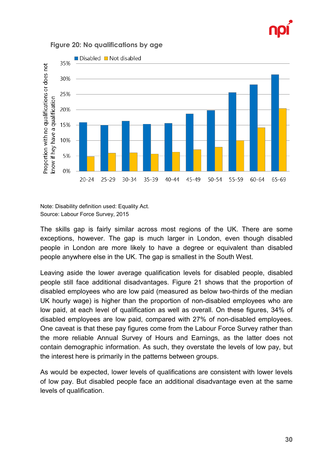

#### **Figure 20: No qualifications by age**



Note: Disability definition used: Equality Act. Source: Labour Force Survey, 2015

The skills gap is fairly similar across most regions of the UK. There are some exceptions, however. The gap is much larger in London, even though disabled people in London are more likely to have a degree or equivalent than disabled people anywhere else in the UK. The gap is smallest in the South West.

Leaving aside the lower average qualification levels for disabled people, disabled people still face additional disadvantages. Figure 21 shows that the proportion of disabled employees who are low paid (measured as below two-thirds of the median UK hourly wage) is higher than the proportion of non-disabled employees who are low paid, at each level of qualification as well as overall. On these figures, 34% of disabled employees are low paid, compared with 27% of non-disabled employees. One caveat is that these pay figures come from the Labour Force Survey rather than the more reliable Annual Survey of Hours and Earnings, as the latter does not contain demographic information. As such, they overstate the levels of low pay, but the interest here is primarily in the patterns between groups.

As would be expected, lower levels of qualifications are consistent with lower levels of low pay. But disabled people face an additional disadvantage even at the same levels of qualification.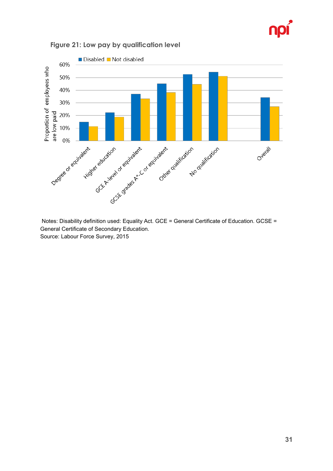



**Figure 21: Low pay by qualification level**

Notes: Disability definition used: Equality Act. GCE = General Certificate of Education. GCSE = General Certificate of Secondary Education. Source: Labour Force Survey, 2015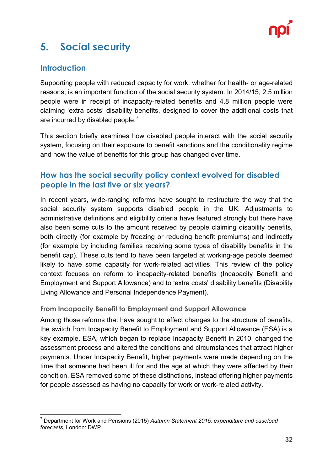

## <span id="page-31-0"></span>**5. Social security**

#### <span id="page-31-1"></span>**Introduction**

Supporting people with reduced capacity for work, whether for health- or age-related reasons, is an important function of the social security system. In 2014/15, 2.5 million people were in receipt of incapacity-related benefits and 4.8 million people were claiming 'extra costs' disability benefits, designed to cover the additional costs that are incurred by disabled people.<sup>[7](#page-31-3)</sup>

This section briefly examines how disabled people interact with the social security system, focusing on their exposure to benefit sanctions and the conditionality regime and how the value of benefits for this group has changed over time.

#### <span id="page-31-2"></span>**How has the social security policy context evolved for disabled people in the last five or six years?**

In recent years, wide-ranging reforms have sought to restructure the way that the social security system supports disabled people in the UK. Adjustments to administrative definitions and eligibility criteria have featured strongly but there have also been some cuts to the amount received by people claiming disability benefits, both directly (for example by freezing or reducing benefit premiums) and indirectly (for example by including families receiving some types of disability benefits in the benefit cap). These cuts tend to have been targeted at working-age people deemed likely to have some capacity for work-related activities. This review of the policy context focuses on reform to incapacity-related benefits (Incapacity Benefit and Employment and Support Allowance) and to 'extra costs' disability benefits (Disability Living Allowance and Personal Independence Payment).

#### **From Incapacity Benefit to Employment and Support Allowance**

Among those reforms that have sought to effect changes to the structure of benefits, the switch from Incapacity Benefit to Employment and Support Allowance (ESA) is a key example. ESA, which began to replace Incapacity Benefit in 2010, changed the assessment process and altered the conditions and circumstances that attract higher payments. Under Incapacity Benefit, higher payments were made depending on the time that someone had been ill for and the age at which they were affected by their condition. ESA removed some of these distinctions, instead offering higher payments for people assessed as having no capacity for work or work-related activity.

<span id="page-31-3"></span> <sup>7</sup> Department for Work and Pensions (2015) *Autumn Statement 2015: expenditure and caseload forecasts*, London: DWP.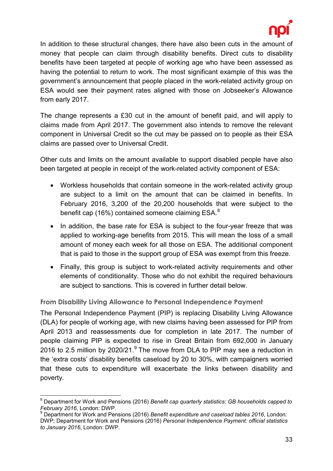

In addition to these structural changes, there have also been cuts in the amount of money that people can claim through disability benefits. Direct cuts to disability benefits have been targeted at people of working age who have been assessed as having the potential to return to work. The most significant example of this was the government's announcement that people placed in the work-related activity group on ESA would see their payment rates aligned with those on Jobseeker's Allowance from early 2017.

The change represents a £30 cut in the amount of benefit paid, and will apply to claims made from April 2017. The government also intends to remove the relevant component in Universal Credit so the cut may be passed on to people as their ESA claims are passed over to Universal Credit.

Other cuts and limits on the amount available to support disabled people have also been targeted at people in receipt of the work-related activity component of ESA:

- Workless households that contain someone in the work-related activity group are subject to a limit on the amount that can be claimed in benefits. In February 2016, 3,200 of the 20,200 households that were subject to the benefit cap (16%) contained someone claiming ESA. $^8$  $^8$
- In addition, the base rate for ESA is subject to the four-year freeze that was applied to working-age benefits from 2015. This will mean the loss of a small amount of money each week for all those on ESA. The additional component that is paid to those in the support group of ESA was exempt from this freeze.
- Finally, this group is subject to work-related activity requirements and other elements of conditionality. Those who do not exhibit the required behaviours are subject to sanctions. This is covered in further detail below.

**From Disability Living Allowance to Personal Independence Payment**

The Personal Independence Payment (PIP) is replacing Disability Living Allowance (DLA) for people of working age, with new claims having been assessed for PIP from April 2013 and reassessments due for completion in late 2017. The number of people claiming PIP is expected to rise in Great Britain from 692,000 in January 2016 to 2.5 million by 2020/21. $9$  The move from DLA to PIP may see a reduction in the 'extra costs' disability benefits caseload by 20 to 30%, with campaigners worried that these cuts to expenditure will exacerbate the links between disability and poverty.

<span id="page-32-0"></span> <sup>8</sup> Department for Work and Pensions (2016) *Benefit cap quarterly statistics: GB households capped to February 2016*, London: DWP.

<span id="page-32-1"></span><sup>9</sup> Department for Work and Pensions (2016) *Benefit expenditure and caseload tables 2016*, London: DWP; Department for Work and Pensions (2016) *Personal Independence Payment: official statistics to January 2016*, London: DWP.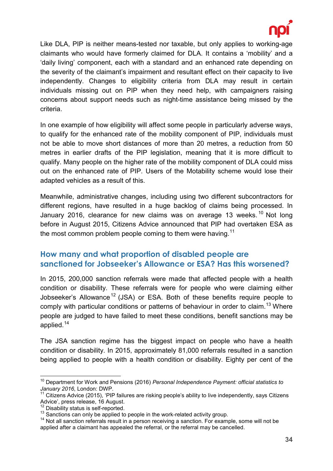

Like DLA, PIP is neither means-tested nor taxable, but only applies to working-age claimants who would have formerly claimed for DLA. It contains a 'mobility' and a 'daily living' component, each with a standard and an enhanced rate depending on the severity of the claimant's impairment and resultant effect on their capacity to live independently. Changes to eligibility criteria from DLA may result in certain individuals missing out on PIP when they need help, with campaigners raising concerns about support needs such as night-time assistance being missed by the criteria.

In one example of how eligibility will affect some people in particularly adverse ways, to qualify for the enhanced rate of the mobility component of PIP, individuals must not be able to move short distances of more than 20 metres, a reduction from 50 metres in earlier drafts of the PIP legislation, meaning that it is more difficult to qualify. Many people on the higher rate of the mobility component of DLA could miss out on the enhanced rate of PIP. Users of the Motability scheme would lose their adapted vehicles as a result of this.

Meanwhile, administrative changes, including using two different subcontractors for different regions, have resulted in a huge backlog of claims being processed. In January 2016, clearance for new claims was on average 13 weeks.<sup>[10](#page-33-1)</sup> Not long before in August 2015, Citizens Advice announced that PIP had overtaken ESA as the most common problem people coming to them were having.<sup>[11](#page-33-2)</sup>

#### <span id="page-33-0"></span>**How many and what proportion of disabled people are sanctioned for Jobseeker's Allowance or ESA? Has this worsened?**

In 2015, 200,000 sanction referrals were made that affected people with a health condition or disability. These referrals were for people who were claiming either Jobseeker's Allowance<sup>[12](#page-33-3)</sup> (JSA) or ESA. Both of these benefits require people to comply with particular conditions or patterns of behaviour in order to claim.<sup>[13](#page-33-4)</sup> Where people are judged to have failed to meet these conditions, benefit sanctions may be applied.[14](#page-33-5)

The JSA sanction regime has the biggest impact on people who have a health condition or disability. In 2015, approximately 81,000 referrals resulted in a sanction being applied to people with a health condition or disability. Eighty per cent of the

<span id="page-33-1"></span> <sup>10</sup> Department for Work and Pensions (2016) *Personal Independence Payment: official statistics to January 2016*, London: DWP.

<span id="page-33-2"></span> $11$  Citizens Advice (2015), 'PIP failures are risking people's ability to live independently, says Citizens Advice', press release, 16 August.<br><sup>12</sup> Disability status is self-reported.<br><sup>13</sup> Sanctions can only be applied to people in the work-related activity group.<br><sup>14</sup> Not all sanction referrals result in a person receiving a sa

<span id="page-33-3"></span>

<span id="page-33-4"></span>

<span id="page-33-5"></span>applied after a claimant has appealed the referral, or the referral may be cancelled.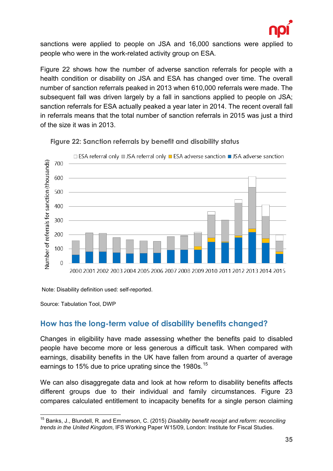

sanctions were applied to people on JSA and 16,000 sanctions were applied to people who were in the work-related activity group on ESA.

Figure 22 shows how the number of adverse sanction referrals for people with a health condition or disability on JSA and ESA has changed over time. The overall number of sanction referrals peaked in 2013 when 610,000 referrals were made. The subsequent fall was driven largely by a fall in sanctions applied to people on JSA; sanction referrals for ESA actually peaked a year later in 2014. The recent overall fall in referrals means that the total number of sanction referrals in 2015 was just a third of the size it was in 2013.



**Figure 22: Sanction referrals by benefit and disability status**

Note: Disability definition used: self-reported.

Source: Tabulation Tool, DWP

#### <span id="page-34-0"></span>**How has the long-term value of disability benefits changed?**

Changes in eligibility have made assessing whether the benefits paid to disabled people have become more or less generous a difficult task. When compared with earnings, disability benefits in the UK have fallen from around a quarter of average earnings to [15](#page-34-1)% due to price uprating since the 1980s.<sup>15</sup>

We can also disaggregate data and look at how reform to disability benefits affects different groups due to their individual and family circumstances. Figure 23 compares calculated entitlement to incapacity benefits for a single person claiming

<span id="page-34-1"></span> <sup>15</sup> Banks, J., Blundell, R. and Emmerson, C. (2015) *Disability benefit receipt and reform: reconciling trends in the United Kingdom*, IFS Working Paper W15/09, London: Institute for Fiscal Studies.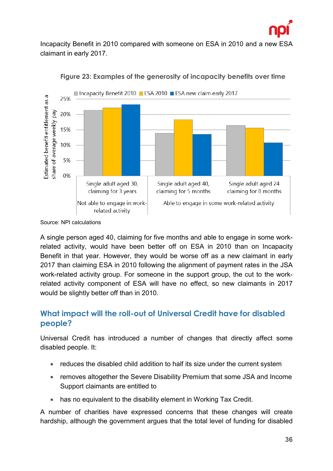

Incapacity Benefit in 2010 compared with someone on ESA in 2010 and a new ESA claimant in early 2017.





A single person aged 40, claiming for five months and able to engage in some workrelated activity, would have been better off on ESA in 2010 than on Incapacity Benefit in that year. However, they would be worse off as a new claimant in early 2017 than claiming ESA in 2010 following the alignment of payment rates in the JSA work-related activity group. For someone in the support group, the cut to the workrelated activity component of ESA will have no effect, so new claimants in 2017 would be slightly better off than in 2010.

#### <span id="page-35-0"></span>**What impact will the roll-out of Universal Credit have for disabled people?**

Universal Credit has introduced a number of changes that directly affect some disabled people. It:

- reduces the disabled child addition to half its size under the current system
- removes altogether the Severe Disability Premium that some JSA and Income Support claimants are entitled to
- has no equivalent to the disability element in Working Tax Credit.

A number of charities have expressed concerns that these changes will create hardship, although the government argues that the total level of funding for disabled

Source: NPI calculations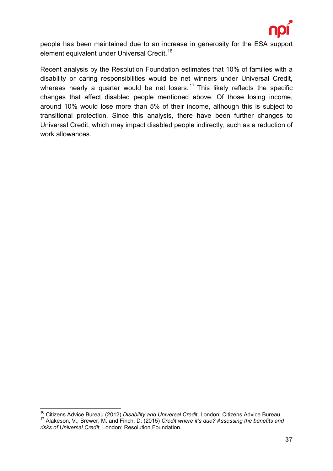

people has been maintained due to an increase in generosity for the ESA support element equivalent under Universal Credit.<sup>[16](#page-36-0)</sup>

Recent analysis by the Resolution Foundation estimates that 10% of families with a disability or caring responsibilities would be net winners under Universal Credit, whereas nearly a quarter would be net losers.<sup>[17](#page-36-1)</sup> This likely reflects the specific changes that affect disabled people mentioned above. Of those losing income, around 10% would lose more than 5% of their income, although this is subject to transitional protection. Since this analysis, there have been further changes to Universal Credit, which may impact disabled people indirectly, such as a reduction of work allowances.

<span id="page-36-1"></span><span id="page-36-0"></span> <sup>16</sup> Citizens Advice Bureau (2012) *Disability and Universal Credit*, London: Citizens Advice Bureau. <sup>17</sup> Alakeson, V., Brewer, M. and Finch, D. (2015) *Credit where it's due? Assessing the benefits and risks of Universal Credit*, London: Resolution Foundation.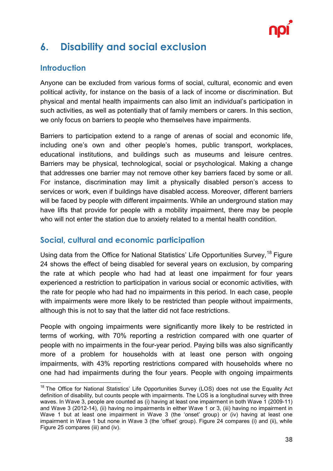

## <span id="page-37-0"></span>**6. Disability and social exclusion**

#### <span id="page-37-1"></span>**Introduction**

Anyone can be excluded from various forms of social, cultural, economic and even political activity, for instance on the basis of a lack of income or discrimination. But physical and mental health impairments can also limit an individual's participation in such activities, as well as potentially that of family members or carers. In this section, we only focus on barriers to people who themselves have impairments.

Barriers to participation extend to a range of arenas of social and economic life, including one's own and other people's homes, public transport, workplaces, educational institutions, and buildings such as museums and leisure centres. Barriers may be physical, technological, social or psychological. Making a change that addresses one barrier may not remove other key barriers faced by some or all. For instance, discrimination may limit a physically disabled person's access to services or work, even if buildings have disabled access. Moreover, different barriers will be faced by people with different impairments. While an underground station may have lifts that provide for people with a mobility impairment, there may be people who will not enter the station due to anxiety related to a mental health condition.

#### <span id="page-37-2"></span>**Social, cultural and economic participation**

Using data from the Office for National Statistics' Life Opportunities Survey.<sup>[18](#page-37-3)</sup> Figure 24 shows the effect of being disabled for several years on exclusion, by comparing the rate at which people who had had at least one impairment for four years experienced a restriction to participation in various social or economic activities, with the rate for people who had had no impairments in this period. In each case, people with impairments were more likely to be restricted than people without impairments, although this is not to say that the latter did not face restrictions.

People with ongoing impairments were significantly more likely to be restricted in terms of working, with 70% reporting a restriction compared with one quarter of people with no impairments in the four-year period. Paying bills was also significantly more of a problem for households with at least one person with ongoing impairments, with 43% reporting restrictions compared with households where no one had had impairments during the four years. People with ongoing impairments

<span id="page-37-3"></span><sup>&</sup>lt;sup>18</sup> The Office for National Statistics' Life Opportunities Survey (LOS) does not use the Equality Act definition of disability, but counts people with impairments. The LOS is a longitudinal survey with three waves. In Wave 3, people are counted as (i) having at least one impairment in both Wave 1 (2009-11) and Wave 3 (2012-14), (ii) having no impairments in either Wave 1 or 3, (iii) having no impairment in Wave 1 but at least one impairment in Wave 3 (the 'onset' group) or (iv) having at least one impairment in Wave 1 but none in Wave 3 (the 'offset' group). Figure 24 compares (i) and (ii), while Figure 25 compares (iii) and (iv).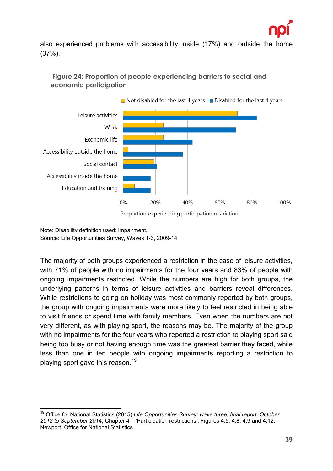

also experienced problems with accessibility inside (17%) and outside the home (37%).



#### **Figure 24: Proportion of people experiencing barriers to social and economic participation**

Proportion experiencing participation restriction

Note: Disability definition used: impairment. Source: Life Opportunities Survey, Waves 1-3, 2009-14

The majority of both groups experienced a restriction in the case of leisure activities, with 71% of people with no impairments for the four years and 83% of people with ongoing impairments restricted. While the numbers are high for both groups, the underlying patterns in terms of leisure activities and barriers reveal differences. While restrictions to going on holiday was most commonly reported by both groups, the group with ongoing impairments were more likely to feel restricted in being able to visit friends or spend time with family members. Even when the numbers are not very different, as with playing sport, the reasons may be. The majority of the group with no impairments for the four years who reported a restriction to playing sport said being too busy or not having enough time was the greatest barrier they faced, while less than one in ten people with ongoing impairments reporting a restriction to playing sport gave this reason.<sup>[19](#page-38-0)</sup>

<span id="page-38-0"></span> <sup>19</sup> Office for National Statistics (2015) *Life Opportunities Survey: wave three, final report, October 2012 to September 2014*, Chapter 4 – 'Participation restrictions', Figures 4.5, 4.8, 4.9 and 4.12, Newport: Office for National Statistics.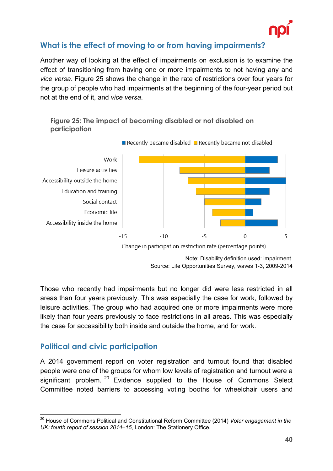

#### <span id="page-39-0"></span>**What is the effect of moving to or from having impairments?**

Another way of looking at the effect of impairments on exclusion is to examine the effect of transitioning from having one or more impairments to not having any and *vice versa*. Figure 25 shows the change in the rate of restrictions over four years for the group of people who had impairments at the beginning of the four-year period but not at the end of it, and *vice versa*.





Those who recently had impairments but no longer did were less restricted in all areas than four years previously. This was especially the case for work, followed by leisure activities. The group who had acquired one or more impairments were more likely than four years previously to face restrictions in all areas. This was especially the case for accessibility both inside and outside the home, and for work.

#### <span id="page-39-1"></span>**Political and civic participation**

A 2014 government report on voter registration and turnout found that disabled people were one of the groups for whom low levels of registration and turnout were a significant problem. <sup>[20](#page-39-2)</sup> Evidence supplied to the House of Commons Select Committee noted barriers to accessing voting booths for wheelchair users and

<span id="page-39-2"></span> <sup>20</sup> House of Commons Political and Constitutional Reform Committee (2014) *Voter engagement in the UK: fourth report of session 2014–15*, London: The Stationery Office.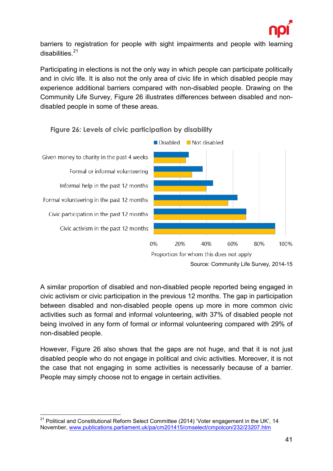

barriers to registration for people with sight impairments and people with learning disabilities.<sup>[21](#page-40-0)</sup>

Participating in elections is not the only way in which people can participate politically and in civic life. It is also not the only area of civic life in which disabled people may experience additional barriers compared with non-disabled people. Drawing on the Community Life Survey, Figure 26 illustrates differences between disabled and nondisabled people in some of these areas.



**Figure 26: Levels of civic participation by disability**

A similar proportion of disabled and non-disabled people reported being engaged in civic activism or civic participation in the previous 12 months. The gap in participation between disabled and non-disabled people opens up more in more common civic activities such as formal and informal volunteering, with 37% of disabled people not being involved in any form of formal or informal volunteering compared with 29% of non-disabled people.

However, Figure 26 also shows that the gaps are not huge, and that it is not just disabled people who do not engage in political and civic activities. Moreover, it is not the case that not engaging in some activities is necessarily because of a barrier. People may simply choose not to engage in certain activities.

<span id="page-40-0"></span> $21$  Political and Constitutional Reform Select Committee (2014) 'Voter engagement in the UK', 14 November, [www.publications.parliament.uk/pa/cm201415/cmselect/cmpolcon/232/23207.htm](http://www.publications.parliament.uk/pa/cm201415/cmselect/cmpolcon/232/23207.htm)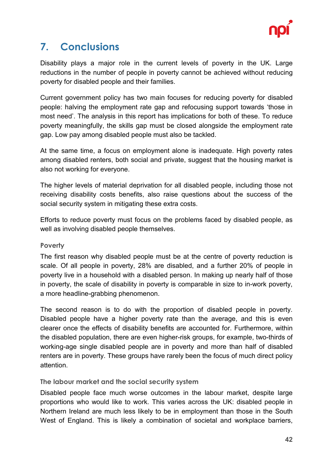

## <span id="page-41-0"></span>**7. Conclusions**

Disability plays a major role in the current levels of poverty in the UK. Large reductions in the number of people in poverty cannot be achieved without reducing poverty for disabled people and their families.

Current government policy has two main focuses for reducing poverty for disabled people: halving the employment rate gap and refocusing support towards 'those in most need'. The analysis in this report has implications for both of these. To reduce poverty meaningfully, the skills gap must be closed alongside the employment rate gap. Low pay among disabled people must also be tackled.

At the same time, a focus on employment alone is inadequate. High poverty rates among disabled renters, both social and private, suggest that the housing market is also not working for everyone.

The higher levels of material deprivation for all disabled people, including those not receiving disability costs benefits, also raise questions about the success of the social security system in mitigating these extra costs.

Efforts to reduce poverty must focus on the problems faced by disabled people, as well as involving disabled people themselves.

#### **Poverty**

The first reason why disabled people must be at the centre of poverty reduction is scale. Of all people in poverty, 28% are disabled, and a further 20% of people in poverty live in a household with a disabled person. In making up nearly half of those in poverty, the scale of disability in poverty is comparable in size to in-work poverty, a more headline-grabbing phenomenon.

The second reason is to do with the proportion of disabled people in poverty. Disabled people have a higher poverty rate than the average, and this is even clearer once the effects of disability benefits are accounted for. Furthermore, within the disabled population, there are even higher-risk groups, for example, two-thirds of working-age single disabled people are in poverty and more than half of disabled renters are in poverty. These groups have rarely been the focus of much direct policy attention.

#### **The labour market and the social security system**

Disabled people face much worse outcomes in the labour market, despite large proportions who would like to work. This varies across the UK: disabled people in Northern Ireland are much less likely to be in employment than those in the South West of England. This is likely a combination of societal and workplace barriers,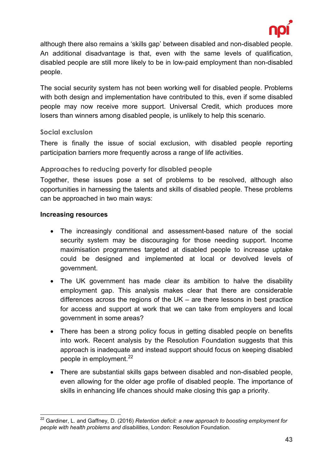

although there also remains a 'skills gap' between disabled and non-disabled people. An additional disadvantage is that, even with the same levels of qualification, disabled people are still more likely to be in low-paid employment than non-disabled people.

The social security system has not been working well for disabled people. Problems with both design and implementation have contributed to this, even if some disabled people may now receive more support. Universal Credit, which produces more losers than winners among disabled people, is unlikely to help this scenario.

#### **Social exclusion**

There is finally the issue of social exclusion, with disabled people reporting participation barriers more frequently across a range of life activities.

#### **Approaches to reducing poverty for disabled people**

Together, these issues pose a set of problems to be resolved, although also opportunities in harnessing the talents and skills of disabled people. These problems can be approached in two main ways:

#### **Increasing resources**

- The increasingly conditional and assessment-based nature of the social security system may be discouraging for those needing support. Income maximisation programmes targeted at disabled people to increase uptake could be designed and implemented at local or devolved levels of government.
- The UK government has made clear its ambition to halve the disability employment gap. This analysis makes clear that there are considerable differences across the regions of the UK – are there lessons in best practice for access and support at work that we can take from employers and local government in some areas?
- There has been a strong policy focus in getting disabled people on benefits into work. Recent analysis by the Resolution Foundation suggests that this approach is inadequate and instead support should focus on keeping disabled people in employment.<sup>[22](#page-42-0)</sup>
- There are substantial skills gaps between disabled and non-disabled people, even allowing for the older age profile of disabled people. The importance of skills in enhancing life chances should make closing this gap a priority.

<span id="page-42-0"></span> <sup>22</sup> Gardiner, L. and Gaffney, D. (2016) *Retention deficit: a new approach to boosting employment for people with health problems and disabilities*, London: Resolution Foundation.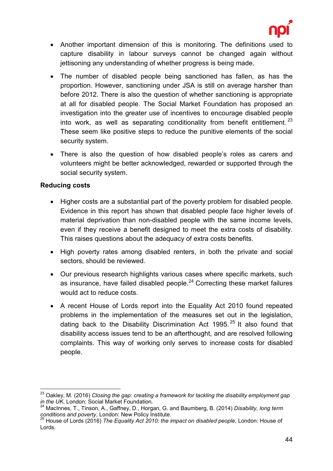

- Another important dimension of this is monitoring. The definitions used to capture disability in labour surveys cannot be changed again without jettisoning any understanding of whether progress is being made.
- The number of disabled people being sanctioned has fallen, as has the proportion. However, sanctioning under JSA is still on average harsher than before 2012. There is also the question of whether sanctioning is appropriate at all for disabled people. The Social Market Foundation has proposed an investigation into the greater use of incentives to encourage disabled people into work, as well as separating conditionality from benefit entitlement.  $23$ These seem like positive steps to reduce the punitive elements of the social security system.
- There is also the question of how disabled people's roles as carers and volunteers might be better acknowledged, rewarded or supported through the social security system.

#### **Reducing costs**

- Higher costs are a substantial part of the poverty problem for disabled people. Evidence in this report has shown that disabled people face higher levels of material deprivation than non-disabled people with the same income levels, even if they receive a benefit designed to meet the extra costs of disability. This raises questions about the adequacy of extra costs benefits.
- High poverty rates among disabled renters, in both the private and social sectors, should be reviewed.
- Our previous research highlights various cases where specific markets, such as insurance, have failed disabled people. $^{24}$  $^{24}$  $^{24}$  Correcting these market failures would act to reduce costs.
- A recent House of Lords report into the Equality Act 2010 found repeated problems in the implementation of the measures set out in the legislation, dating back to the Disability Discrimination Act 1995.<sup>[25](#page-43-2)</sup> It also found that disability access issues tend to be an afterthought, and are resolved following complaints. This way of working only serves to increase costs for disabled people.

<span id="page-43-0"></span> <sup>23</sup> Oakley, M. (2016) *Closing the gap: creating a framework for tackling the disability employment gap in the UK*, London: Social Market Foundation.

<span id="page-43-1"></span><sup>24</sup> MacInnes, T., Tinson, A., Gaffney, D., Horgan, G. and Baumberg, B. (2014) *Disability, long term* 

<span id="page-43-2"></span>*conditions and poverty*, London: New Policy Institute. <sup>25</sup> House of Lords (2016) *The Equality Act 2010: the impact on disabled people*, London: House of Lords.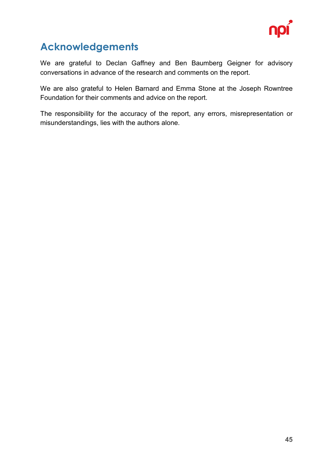

## <span id="page-44-0"></span>**Acknowledgements**

We are grateful to Declan Gaffney and Ben Baumberg Geigner for advisory conversations in advance of the research and comments on the report.

We are also grateful to Helen Barnard and Emma Stone at the Joseph Rowntree Foundation for their comments and advice on the report.

The responsibility for the accuracy of the report, any errors, misrepresentation or misunderstandings, lies with the authors alone.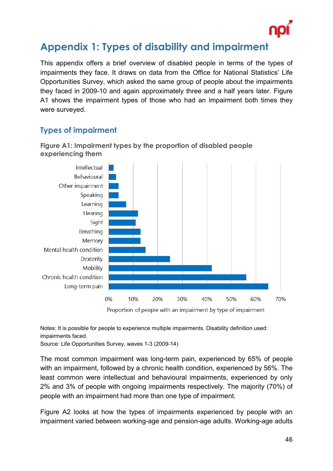

## <span id="page-45-0"></span>**Appendix 1: Types of disability and impairment**

This appendix offers a brief overview of disabled people in terms of the types of impairments they face. It draws on data from the Office for National Statistics' Life Opportunities Survey, which asked the same group of people about the impairments they faced in 2009-10 and again approximately three and a half years later. Figure A1 shows the impairment types of those who had an impairment both times they were surveyed.

#### <span id="page-45-1"></span>**Types of impairment**



**Figure A1: Impairment types by the proportion of disabled people experiencing them**

Proportion of people with an impairment by type of impairment

Notes: It is possible for people to experience multiple impairments. Disability definition used: impairments faced.

Source: Life Opportunities Survey, waves 1-3 (2009-14)

The most common impairment was long-term pain, experienced by 65% of people with an impairment, followed by a chronic health condition, experienced by 56%. The least common were intellectual and behavioural impairments, experienced by only 2% and 3% of people with ongoing impairments respectively. The majority (70%) of people with an impairment had more than one type of impairment.

Figure A2 looks at how the types of impairments experienced by people with an impairment varied between working-age and pension-age adults. Working-age adults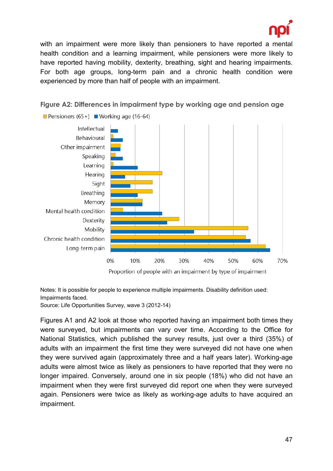

with an impairment were more likely than pensioners to have reported a mental health condition and a learning impairment, while pensioners were more likely to have reported having mobility, dexterity, breathing, sight and hearing impairments. For both age groups, long-term pain and a chronic health condition were experienced by more than half of people with an impairment.



**Figure A2: Differences in impairment type by working age and pension age** 

Proportion of people with an impairment by type of impairment

Notes: It is possible for people to experience multiple impairments. Disability definition used: Impairments faced.

Source: Life Opportunities Survey, wave 3 (2012-14)

Figures A1 and A2 look at those who reported having an impairment both times they were surveyed, but impairments can vary over time. According to the Office for National Statistics, which published the survey results, just over a third (35%) of adults with an impairment the first time they were surveyed did not have one when they were survived again (approximately three and a half years later). Working-age adults were almost twice as likely as pensioners to have reported that they were no longer impaired. Conversely, around one in six people (18%) who did not have an impairment when they were first surveyed did report one when they were surveyed again. Pensioners were twice as likely as working-age adults to have acquired an impairment.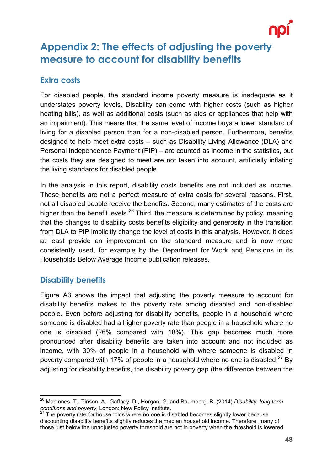

## <span id="page-47-0"></span>**Appendix 2: The effects of adjusting the poverty measure to account for disability benefits**

#### <span id="page-47-1"></span>**Extra costs**

For disabled people, the standard income poverty measure is inadequate as it understates poverty levels. Disability can come with higher costs (such as higher heating bills), as well as additional costs (such as aids or appliances that help with an impairment). This means that the same level of income buys a lower standard of living for a disabled person than for a non-disabled person. Furthermore, benefits designed to help meet extra costs – such as Disability Living Allowance (DLA) and Personal Independence Payment (PIP) – are counted as income in the statistics, but the costs they are designed to meet are not taken into account, artificially inflating the living standards for disabled people.

In the analysis in this report, disability costs benefits are not included as income. These benefits are not a perfect measure of extra costs for several reasons. First, not all disabled people receive the benefits. Second, many estimates of the costs are higher than the benefit levels.<sup>[26](#page-47-3)</sup> Third, the measure is determined by policy, meaning that the changes to disability costs benefits eligibility and generosity in the transition from DLA to PIP implicitly change the level of costs in this analysis. However, it does at least provide an improvement on the standard measure and is now more consistently used, for example by the Department for Work and Pensions in its Households Below Average Income publication releases.

#### <span id="page-47-2"></span>**Disability benefits**

Figure A3 shows the impact that adjusting the poverty measure to account for disability benefits makes to the poverty rate among disabled and non-disabled people. Even before adjusting for disability benefits, people in a household where someone is disabled had a higher poverty rate than people in a household where no one is disabled (26% compared with 18%). This gap becomes much more pronounced after disability benefits are taken into account and not included as income, with 30% of people in a household with where someone is disabled in poverty compared with 17% of people in a household where no one is disabled.<sup>[27](#page-47-4)</sup> By adjusting for disability benefits, the disability poverty gap (the difference between the

<span id="page-47-3"></span> <sup>26</sup> MacInnes, T., Tinson, A., Gaffney, D., Horgan, G. and Baumberg, B. (2014) *Disability, long term conditions and poverty*, London: New Policy Institute. <sup>27</sup> The poverty rate for households where no one is disabled becomes slightly lower because

<span id="page-47-4"></span>discounting disability benefits slightly reduces the median household income. Therefore, many of those just below the unadjusted poverty threshold are not in poverty when the threshold is lowered.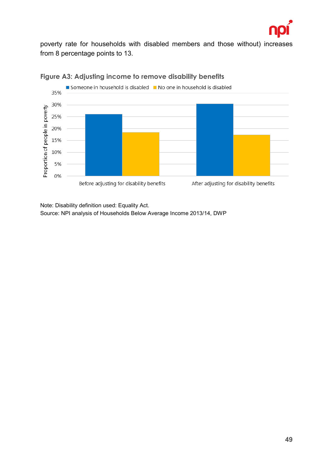

poverty rate for households with disabled members and those without) increases from 8 percentage points to 13.



#### **Figure A3: Adjusting income to remove disability benefits**

Note: Disability definition used: Equality Act. Source: NPI analysis of Households Below Average Income 2013/14, DWP